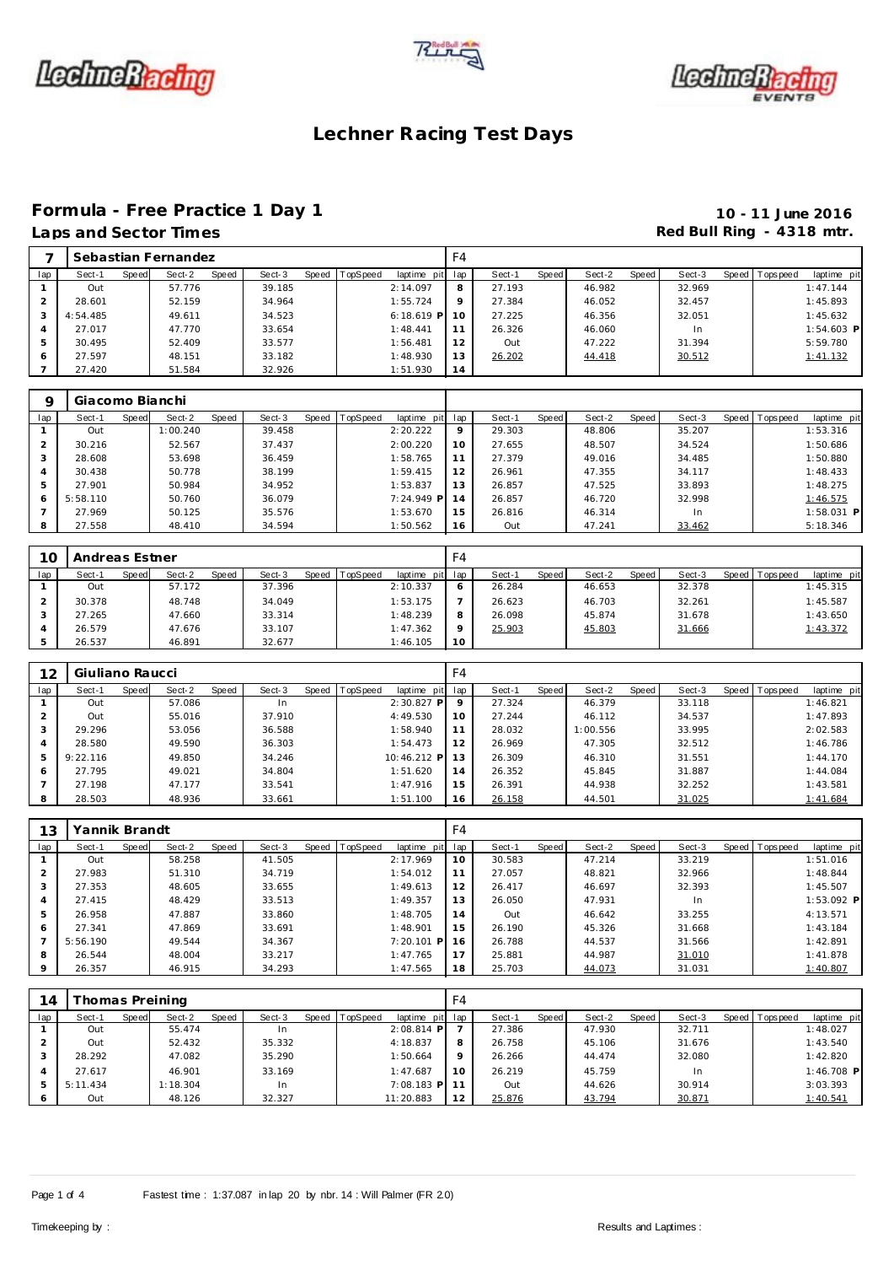





#### **Formula - Free Practice 1 Day 1 10 - 11 June 2016** Laps and Sector Times **Red Bull Ring - 4318 mtr.**

|     | ___________ |       |                     |       |        |                  |              |     |        |       |        |       |        | $\cdot$ $\cdot$ |                 |              |
|-----|-------------|-------|---------------------|-------|--------|------------------|--------------|-----|--------|-------|--------|-------|--------|-----------------|-----------------|--------------|
|     |             |       | Sebastian Fernandez |       |        |                  |              | F4  |        |       |        |       |        |                 |                 |              |
| lap | Sect-1      | Speed | Sect-2              | Speed | Sect-3 | Speed   TopSpeed | laptime pit  | lap | Sect-1 | Speed | Sect-2 | Speed | Sect-3 |                 | Speed Tops peed | laptime pit  |
|     | Out         |       | 57.776              |       | 39.185 |                  | 2:14.097     | 8   | 27.193 |       | 46.982 |       | 32.969 |                 |                 | 1:47.144     |
|     | 28.601      |       | 52.159              |       | 34.964 |                  | 1:55.724     | 9   | 27.384 |       | 46.052 |       | 32.457 |                 |                 | 1:45.893     |
|     | 4:54.485    |       | 49.611              |       | 34.523 |                  | $6:18.619$ P | 10  | 27.225 |       | 46.356 |       | 32.051 |                 |                 | 1:45.632     |
| 4   | 27.017      |       | 47.770              |       | 33.654 |                  | 1:48.441     | 11  | 26.326 |       | 46.060 |       | In     |                 |                 | $1:54.603$ P |
| 5.  | 30.495      |       | 52.409              |       | 33.577 |                  | 1:56.481     | 12  | Out    |       | 47.222 |       | 31.394 |                 |                 | 5:59.780     |
| 6   | 27.597      |       | 48.151              |       | 33.182 |                  | 1:48.930     | 13  | 26.202 |       | 44.418 |       | 30.512 |                 |                 | 1:41.132     |
|     | 27.420      |       | 51.584              |       | 32.926 |                  | 1:51.930     | 14  |        |       |        |       |        |                 |                 |              |

| Q   | Giacomo Bianchi |       |          |       |        |                |              |                 |        |       |        |       |        |                |              |
|-----|-----------------|-------|----------|-------|--------|----------------|--------------|-----------------|--------|-------|--------|-------|--------|----------------|--------------|
| lap | Sect-1          | Speed | Sect-2   | Speed | Sect-3 | Speed TopSpeed | laptime pit  | lap             | Sect-1 | Speed | Sect-2 | Speed | Sect-3 | Speed Topspeed | laptime pit  |
|     | Out             |       | 1:00.240 |       | 39.458 |                | 2:20.222     | $\mathsf Q$     | 29.303 |       | 48.806 |       | 35.207 |                | 1:53.316     |
|     | 30.216          |       | 52.567   |       | 37.437 |                | 2:00.220     | 10 <sup>°</sup> | 27.655 |       | 48.507 |       | 34.524 |                | 1:50.686     |
| 3   | 28.608          |       | 53.698   |       | 36.459 |                | 1:58.765     | 11              | 27.379 |       | 49.016 |       | 34.485 |                | 1:50.880     |
| 4   | 30.438          |       | 50.778   |       | 38.199 |                | 1:59.415     | 12              | 26.961 |       | 47.355 |       | 34.117 |                | 1:48.433     |
| 5   | 27.901          |       | 50.984   |       | 34.952 |                | 1:53.837     | 13              | 26.857 |       | 47.525 |       | 33.893 |                | 1:48.275     |
| 6   | 5:58.110        |       | 50.760   |       | 36.079 |                | $7:24.949$ P | 14              | 26.857 |       | 46.720 |       | 32.998 |                | 1:46.575     |
|     | 27.969          |       | 50.125   |       | 35.576 |                | 1:53.670     | 15              | 26.816 |       | 46.314 |       | In     |                | $1:58.031$ P |
| 8   | 27.558          |       | 48.410   |       | 34.594 |                | 1:50.562     | 16              | Out    |       | 47.241 |       | 33.462 |                | 5:18.346     |

| 10  | Andreas Estner  |                 |        |                               | F4              |                 |                 |        |                                |
|-----|-----------------|-----------------|--------|-------------------------------|-----------------|-----------------|-----------------|--------|--------------------------------|
| lap | Sect-1<br>Speed | Sect-2<br>Speed | Sect-3 | Speed TopSpeed<br>laptime pit | lap             | Speed<br>Sect-1 | Sect-2<br>Speed | Sect-3 | Speed Tops peed<br>laptime pit |
|     | Out             | 57.172          | 37.396 | 2:10.337                      | O               | 26.284          | 46.653          | 32.378 | 1:45.315                       |
|     | 30.378          | 48.748          | 34.049 | 1:53.175                      |                 | 26.623          | 46.703          | 32.261 | 1:45.587                       |
|     | 27.265          | 47.660          | 33.314 | 1:48.239                      | 8               | 26.098          | 45.874          | 31.678 | 1:43.650                       |
|     | 26.579          | 47.676          | 33.107 | 1:47.362                      | $\circ$         | 25.903          | 45.803          | 31.666 | 1:43.372                       |
|     | 26.537          | 46.891          | 32.677 | 1:46.105                      | 10 <sup>°</sup> |                 |                 |        |                                |

| 12  | Giuliano Raucci |       |        |       |        |                  |             | F4              |        |       |          |       |        |                 |             |
|-----|-----------------|-------|--------|-------|--------|------------------|-------------|-----------------|--------|-------|----------|-------|--------|-----------------|-------------|
| lap | Sect-1          | Speed | Sect-2 | Speed | Sect-3 | Speed   TopSpeed | laptime pit | lap             | Sect-1 | Speed | Sect-2   | Speed | Sect-3 | Speed Tops peed | laptime pit |
|     | Out             |       | 57.086 |       | In     |                  | 2:30.827 P  | 9               | 27.324 |       | 46.379   |       | 33.118 |                 | 1:46.821    |
|     | Out             |       | 55.016 |       | 37.910 |                  | 4:49.530    | 10 <sup>°</sup> | 27.244 |       | 46.112   |       | 34.537 |                 | 1:47.893    |
| 3   | 29.296          |       | 53.056 |       | 36.588 |                  | 1:58.940    | 11              | 28.032 |       | 1:00.556 |       | 33.995 |                 | 2:02.583    |
| 4   | 28.580          |       | 49.590 |       | 36.303 |                  | 1:54.473    | 12              | 26.969 |       | 47.305   |       | 32.512 |                 | 1:46.786    |
| 5   | 9:22.116        |       | 49.850 |       | 34.246 |                  | 10:46.212 P | 13              | 26.309 |       | 46.310   |       | 31.551 |                 | 1:44.170    |
| 6   | 27.795          |       | 49.021 |       | 34.804 |                  | 1:51.620    | 14              | 26.352 |       | 45.845   |       | 31.887 |                 | 1:44.084    |
|     | 27.198          |       | 47.177 |       | 33.541 |                  | 1:47.916    | 15              | 26.391 |       | 44.938   |       | 32.252 |                 | 1:43.581    |
| 8   | 28.503          |       | 48.936 |       | 33.661 |                  | 1:51.100    | 16              | 26.158 |       | 44.501   |       | 31.025 |                 | 1:41.684    |

| 13             | Yannik Brandt |       |        |       |        |                |                 | F4 |        |       |        |       |        |                |              |
|----------------|---------------|-------|--------|-------|--------|----------------|-----------------|----|--------|-------|--------|-------|--------|----------------|--------------|
| lap            | Sect-1        | Speed | Sect-2 | Speed | Sect-3 | Speed TopSpeed | laptime pit lap |    | Sect-1 | Speed | Sect-2 | Speed | Sect-3 | Speed Topspeed | laptime pit  |
|                | Out           |       | 58.258 |       | 41.505 |                | 2:17.969        | 10 | 30.583 |       | 47.214 |       | 33.219 |                | 1:51.016     |
| 2              | 27.983        |       | 51.310 |       | 34.719 |                | 1:54.012        | 11 | 27.057 |       | 48.821 |       | 32.966 |                | 1:48.844     |
| 3              | 27.353        |       | 48.605 |       | 33.655 |                | 1:49.613        | 12 | 26.417 |       | 46.697 |       | 32.393 |                | 1:45.507     |
| $\overline{A}$ | 27.415        |       | 48.429 |       | 33.513 |                | 1:49.357        | 13 | 26.050 |       | 47.931 |       | In.    |                | $1:53.092$ P |
| 5              | 26.958        |       | 47.887 |       | 33.860 |                | 1:48.705        | 14 | Out    |       | 46.642 |       | 33.255 |                | 4:13.571     |
| 6              | 27.341        |       | 47.869 |       | 33.691 |                | 1:48.901        | 15 | 26.190 |       | 45.326 |       | 31.668 |                | 1:43.184     |
|                | 5:56.190      |       | 49.544 |       | 34.367 |                | $7:20.101$ P    | 16 | 26.788 |       | 44.537 |       | 31.566 |                | 1:42.891     |
| 8              | 26.544        |       | 48.004 |       | 33.217 |                | 1:47.765        | 17 | 25.881 |       | 44.987 |       | 31.010 |                | 1:41.878     |
| $\circ$        | 26.357        |       | 46.915 |       | 34.293 |                | 1:47.565        | 18 | 25.703 |       | 44.073 |       | 31.031 |                | 1:40.807     |

| 14  |          |       | Thomas Preining |       |        |                |                 | F4      |        |       |        |       |        |       |             |              |
|-----|----------|-------|-----------------|-------|--------|----------------|-----------------|---------|--------|-------|--------|-------|--------|-------|-------------|--------------|
| lap | Sect-1   | Speed | Sect-2          | Speed | Sect-3 | Speed TopSpeed | laptime pit lap |         | Sect-1 | Speed | Sect-2 | Speed | Sect-3 | Speed | T ops pee d | laptime pit  |
|     | Out      |       | 55.474          |       | In     |                | $2:08.814$ P    |         | 27.386 |       | 47.930 |       | 32.711 |       |             | 1:48.027     |
|     | Out      |       | 52.432          |       | 35.332 |                | 4:18.837        | 8       | 26.758 |       | 45.106 |       | 31.676 |       |             | 1:43.540     |
|     | 28.292   |       | 47.082          |       | 35.290 |                | 1:50.664        | $\circ$ | 26.266 |       | 44.474 |       | 32.080 |       |             | 1:42.820     |
| 4   | 27.617   |       | 46.901          |       | 33.169 |                | 1:47.687        | 10      | 26.219 |       | 45.759 |       | In     |       |             | $1:46.708$ P |
| -5  | 5:11.434 |       | 1:18.304        |       | In     |                | $7:08.183$ P    |         | Out    |       | 44.626 |       | 30.914 |       |             | 3:03.393     |
| O   | Out      |       | 48.126          |       | 32.327 |                | 11:20.883       | 12      | 25.876 |       | 43.794 |       | 30.871 |       |             | 1:40.541     |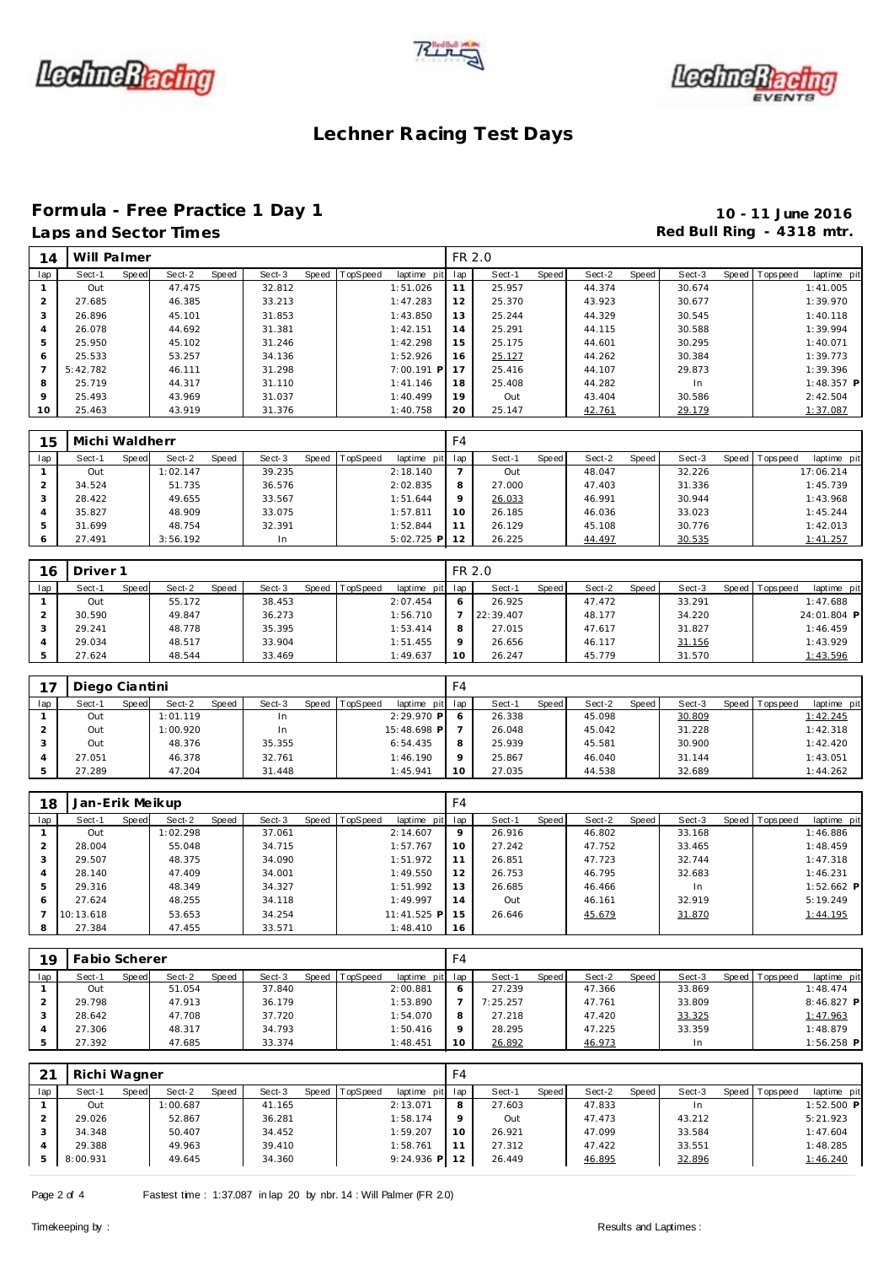





# Formula - Free Practice 1 Day 1<br>
Laps and Sector Times<br> **10 - 11 June 2016**<br>
Red Bull Ring - 4318 mtr.

# Red Bull Ring - 4318 mtr.

| 14  | Will Palmer |       |        |       |        |       |          |              | FR 2.0 |        |         |        |       |        |                 |              |
|-----|-------------|-------|--------|-------|--------|-------|----------|--------------|--------|--------|---------|--------|-------|--------|-----------------|--------------|
| lap | Sect-1      | Speed | Sect-2 | Speed | Sect-3 | Speed | TopSpeed | laptime pit  | lap    | Sect-1 | Speed I | Sect-2 | Speed | Sect-3 | Speed Tops peed | laptime pit  |
|     | Out         |       | 47.475 |       | 32.812 |       |          | 1:51.026     | 11     | 25.957 |         | 44.374 |       | 30.674 |                 | 1:41.005     |
|     | 27.685      |       | 46.385 |       | 33.213 |       |          | 1:47.283     | 12     | 25.370 |         | 43.923 |       | 30.677 |                 | 1:39.970     |
| 3   | 26.896      |       | 45.101 |       | 31.853 |       |          | 1:43.850     | 13     | 25.244 |         | 44.329 |       | 30.545 |                 | 1:40.118     |
| 4   | 26.078      |       | 44.692 |       | 31.381 |       |          | 1:42.151     | 14     | 25.291 |         | 44.115 |       | 30.588 |                 | 1:39.994     |
| 5   | 25.950      |       | 45.102 |       | 31.246 |       |          | 1:42.298     | 15     | 25.175 |         | 44.601 |       | 30.295 |                 | 1:40.071     |
| 6   | 25.533      |       | 53.257 |       | 34.136 |       |          | 1:52.926     | 16     | 25.127 |         | 44.262 |       | 30.384 |                 | 1:39.773     |
|     | 5:42.782    |       | 46.111 |       | 31.298 |       |          | $7:00.191$ P | 17     | 25.416 |         | 44.107 |       | 29.873 |                 | 1:39.396     |
| 8   | 25.719      |       | 44.317 |       | 31.110 |       |          | 1:41.146     | 18     | 25.408 |         | 44.282 |       | In.    |                 | $1:48.357$ P |
| 9   | 25.493      |       | 43.969 |       | 31.037 |       |          | 1:40.499     | 19     | Out    |         | 43.404 |       | 30.586 |                 | 2:42.504     |
| 10  | 25.463      |       | 43.919 |       | 31.376 |       |          | 1:40.758     | 20     | 25.147 |         | 42.761 |       | 29.179 |                 | 1:37.087     |

| 15  | Michi Waldherr |       |          |              |        |       |          |              | F4      |          |              |        |       |        |       |           |             |
|-----|----------------|-------|----------|--------------|--------|-------|----------|--------------|---------|----------|--------------|--------|-------|--------|-------|-----------|-------------|
| lap | Sect-1         | Speed | Sect-2   | <b>Speed</b> | Sect-3 | Speed | TopSpeed | laptime pit  | lap     | $Sect-1$ | <b>Speed</b> | Sect-2 | Speed | Sect-3 | Speed | Tops peed | laptime pit |
|     | Out            |       | 1:02.147 |              | 39.235 |       |          | 2:18.140     |         | Out      |              | 48.047 |       | 32.226 |       |           | 17:06.214   |
|     | 34.524         |       | 51.735   |              | 36.576 |       |          | 2:02.835     | 8       | 27.000   |              | 47.403 |       | 31.336 |       |           | 1:45.739    |
| 3   | 28.422         |       | 49.655   |              | 33.567 |       |          | 1:51.644     | $\circ$ | 26.033   |              | 46.991 |       | 30.944 |       |           | 1:43.968    |
| 4   | 35.827         |       | 48.909   |              | 33.075 |       |          | 1:57.811     | 10      | 26.185   |              | 46.036 |       | 33.023 |       |           | 1:45.244    |
| 5   | 31.699         |       | 48.754   |              | 32.391 |       |          | 1:52.844     | 11      | 26.129   |              | 45.108 |       | 30.776 |       |           | 1:42.013    |
| 6   | 27.491         |       | 3:56.192 |              | In     |       |          | $5:02.725$ P | 12      | 26.225   |              | 44.497 |       | 30.535 |       |           | 1:41.257    |

| 16  | Driver 1<br>Sect-2<br>Speed   TopSpeed<br>Sect-3<br>Sect-1<br>Speed<br>Speed<br>55.172<br>38.453<br>Out<br>36.273<br>49.847<br>30.590<br>35.395<br>48.778<br>29.241 |  |        |  |        |  |  |             | FR 2.0  |           |       |        |       |        |                 |             |
|-----|---------------------------------------------------------------------------------------------------------------------------------------------------------------------|--|--------|--|--------|--|--|-------------|---------|-----------|-------|--------|-------|--------|-----------------|-------------|
| lap |                                                                                                                                                                     |  |        |  |        |  |  | laptime pit | lap     | Sect-1    | Speed | Sect-2 | Speed | Sect-3 | Speed Tops peed | laptime pit |
|     |                                                                                                                                                                     |  |        |  |        |  |  | 2:07.454    | 6       | 26.925    |       | 47.472 |       | 33.291 |                 | 1:47.688    |
|     |                                                                                                                                                                     |  |        |  |        |  |  | 1:56.710    |         | 22:39.407 |       | 48.177 |       | 34.220 |                 | 24:01.804 P |
|     |                                                                                                                                                                     |  |        |  |        |  |  | 1:53.414    | 8       | 27.015    |       | 47.617 |       | 31.827 |                 | 1:46.459    |
|     | 29.034                                                                                                                                                              |  | 48.517 |  | 33.904 |  |  | 1:51.455    | $\circ$ | 26.656    |       | 46.117 |       | 31.156 |                 | 1:43.929    |
|     | 27.624                                                                                                                                                              |  | 48.544 |  | 33.469 |  |  | 1:49.637    | 10      | 26.247    |       | 45.779 |       | 31.570 |                 | 1:43.596    |

|     | Diego Ciantini |       |          |              |        |       |          |                 | F4 |        |       |        |       |        |                 |             |
|-----|----------------|-------|----------|--------------|--------|-------|----------|-----------------|----|--------|-------|--------|-------|--------|-----------------|-------------|
| lap | Sect-1         | Speed | Sect-2   | <b>Speed</b> | Sect-3 | Speed | TopSpeed | laptime pit lap |    | Sect-1 | Speed | Sect-2 | Speed | Sect-3 | Speed Tops peed | laptime pit |
|     | Out            |       | 1:01.119 |              | In     |       |          | 2:29.970 P      |    | 26.338 |       | 45.098 |       | 30.809 |                 | 1:42.245    |
|     | Out            |       | 1:00.920 |              | In     |       |          | 15:48.698 P     |    | 26.048 |       | 45.042 |       | 31.228 |                 | 1:42.318    |
|     | Out            |       | 48.376   |              | 35.355 |       |          | 6:54.435        | 8  | 25.939 |       | 45.581 |       | 30.900 |                 | 1:42.420    |
|     | 27.051         |       | 46.378   |              | 32.761 |       |          | 1:46.190        |    | 25.867 |       | 46.040 |       | 31.144 |                 | 1:43.051    |
|     | 27.289         |       | 47.204   |              | 31.448 |       |          | 1:45.941        | 10 | 27.035 |       | 44.538 |       | 32.689 |                 | 1:44.262    |

| 18  | Jan-Erik Meikup |       |          |       |        |       |          |                 | F <sub>4</sub> |        |       |        |       |        |                |              |
|-----|-----------------|-------|----------|-------|--------|-------|----------|-----------------|----------------|--------|-------|--------|-------|--------|----------------|--------------|
| lap | Sect-1          | Speed | Sect-2   | Speed | Sect-3 | Speed | TopSpeed | laptime pit lap |                | Sect-1 | Speed | Sect-2 | Speed | Sect-3 | Speed Topspeed | laptime pit  |
|     | Out             |       | 1:02.298 |       | 37.061 |       |          | 2:14.607        | $\circ$        | 26.916 |       | 46.802 |       | 33.168 |                | 1:46.886     |
|     | 28.004          |       | 55.048   |       | 34.715 |       |          | 1:57.767        | 10             | 27.242 |       | 47.752 |       | 33.465 |                | 1:48.459     |
|     | 29.507          |       | 48.375   |       | 34.090 |       |          | 1:51.972        |                | 26.851 |       | 47.723 |       | 32.744 |                | 1:47.318     |
| 4   | 28.140          |       | 47.409   |       | 34.001 |       |          | 1:49.550        | 12             | 26.753 |       | 46.795 |       | 32.683 |                | 1:46.231     |
| .5  | 29.316          |       | 48.349   |       | 34.327 |       |          | 1:51.992        | 13             | 26.685 |       | 46.466 |       | In     |                | $1:52.662$ P |
| -6  | 27.624          |       | 48.255   |       | 34.118 |       |          | 1:49.997        | 14             | Out    |       | 46.161 |       | 32.919 |                | 5:19.249     |
|     | 10:13.618       |       | 53.653   |       | 34.254 |       |          | $11:41.525$ P   | 15             | 26.646 |       | 45.679 |       | 31.870 |                | 1:44.195     |
| 8   | 27.384          |       | 47.455   |       | 33.571 |       |          | 1:48.410        | 16             |        |       |        |       |        |                |              |

| 19  | Fabio Scherer |       |        |       |        |                |             | F4              |          |       |        |       |        |                |              |  |
|-----|---------------|-------|--------|-------|--------|----------------|-------------|-----------------|----------|-------|--------|-------|--------|----------------|--------------|--|
| lap | Sect-1        | Speed | Sect-2 | Speed | Sect-3 | Speed TopSpeed | laptime pit | lap             | Sect-1   | Speed | Sect-2 | Speed | Sect-3 | Speed Topspeed | laptime pit  |  |
|     | Out           |       | 51.054 |       | 37.840 |                | 2:00.881    | <sup>6</sup>    | 27.239   |       | 47.366 |       | 33.869 |                | 1:48.474     |  |
|     | 29.798        |       | 47.913 |       | 36.179 |                | 1:53.890    |                 | 7:25.257 |       | 47.761 |       | 33.809 |                | $8:46.827$ P |  |
|     | 28.642        |       | 47.708 |       | 37.720 |                | 1:54.070    | 8               | 27.218   |       | 47.420 |       | 33.325 |                | 1:47.963     |  |
| 4   | 27.306        |       | 48.317 |       | 34.793 |                | 1:50.416    | $\circ$         | 28.295   |       | 47.225 |       | 33.359 |                | 1:48.879     |  |
|     | 27.392        |       | 47.685 |       | 33.374 |                | 1:48.451    | 10 <sup>°</sup> | 26.892   |       | 46.973 |       | In.    |                | $1:56.258$ P |  |

| 21  | Richi Wagner |       |          |       |        |       |                 |             | F4  |        |       |        |       |        |       |            |              |
|-----|--------------|-------|----------|-------|--------|-------|-----------------|-------------|-----|--------|-------|--------|-------|--------|-------|------------|--------------|
| lap | Sect-1       | Speed | Sect-2   | Speed | Sect-3 | Speed | <b>TopSpeed</b> | laptime pit | lap | Sect-1 | Speed | Sect-2 | Speed | Sect-3 | Speed | Tops pee d | laptime pit  |
|     | Out          |       | 1:00.687 |       | 41.165 |       |                 | 2:13.071    | 8   | 27.603 |       | 47.833 |       | In     |       |            | $1:52.500$ P |
|     | 29.026       |       | 52.867   |       | 36.281 |       |                 | 1:58.174    |     | Out    |       | 47.473 |       | 43.212 |       |            | 5:21.923     |
|     | 34.348       |       | 50.407   |       | 34.452 |       |                 | 1:59.207    | 10  | 26.921 |       | 47.099 |       | 33.584 |       |            | 1:47.604     |
|     | 29.388       |       | 49.963   |       | 39.410 |       |                 | 1:58.761    | 11  | 27.312 |       | 47.422 |       | 33.551 |       |            | 1:48.285     |
|     | 8:00.931     |       | 49.645   |       | 34.360 |       |                 | 9:24.936 P  | 12  | 26.449 |       | 46.895 |       | 32.896 |       |            | 1:46.240     |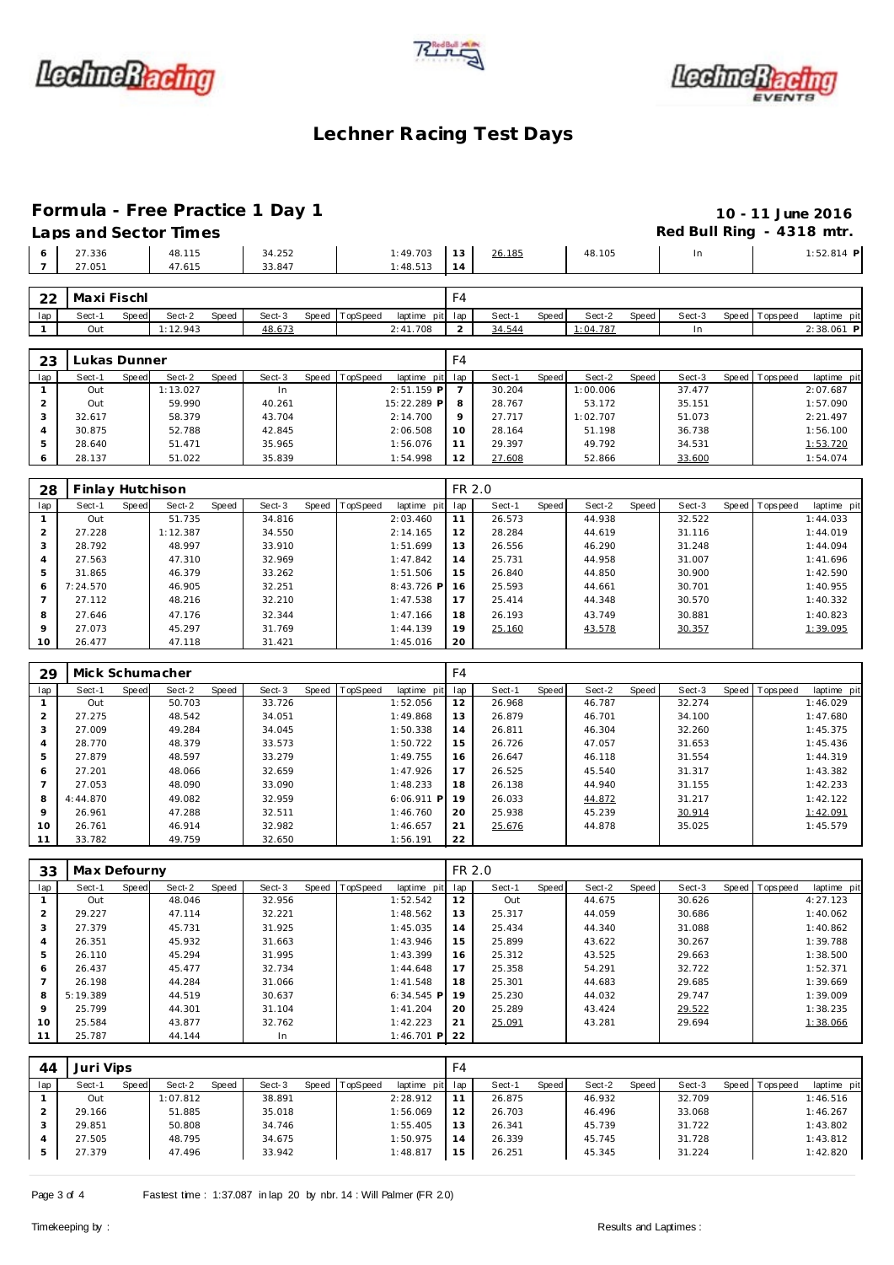





# **Formula - Free Practice 1 Day 1 10 - 11 June 2016**

|                  | Laps and Sector Times |                  |                      |    |        |        |     | Red Bull Ring - 4318 mtr. |
|------------------|-----------------------|------------------|----------------------|----|--------|--------|-----|---------------------------|
| 27.336<br>27.051 | 48.115<br>47.615      | 34.252<br>33.847 | 1:49.703<br>1:48.513 | 13 | 26.185 | 48.105 | In. | $1:52.814$ P              |
| 22 Mayi Ficchl   |                       |                  |                      |    |        |        |     |                           |

| -22 | l Maxi Fischl |              |        |       |        |       |                 |          | $\overline{\phantom{0}}$ |        |              |          |                    |        |                |             |    |
|-----|---------------|--------------|--------|-------|--------|-------|-----------------|----------|--------------------------|--------|--------------|----------|--------------------|--------|----------------|-------------|----|
| lap | Sect-1        | <b>Speed</b> | Sect-2 | Speed | Sect-3 | Speed | <b>TopSpeed</b> | laptime  | pit lap                  | Sect-1 | <b>Speed</b> | Sect-2   | Speed <sub>1</sub> | Sect-3 | Speed Topspeed | laptime pit |    |
|     | Out           |              | 12.943 |       | 48.673 |       |                 | 2:41.708 |                          | 34.544 |              | : 04.787 |                    |        |                | 2:38.061    | D. |
|     |               |              |        |       |        |       |                 |          |                          |        |              |          |                    |        |                |             |    |

| 23  | ukas Dunner. |       |          |       |           |                  |                 | F4      |        |       |          |       |        |                |             |
|-----|--------------|-------|----------|-------|-----------|------------------|-----------------|---------|--------|-------|----------|-------|--------|----------------|-------------|
| lap | Sect-1       | Speed | Sect-2   | Speed | Sect-3    | Speed   TopSpeed | laptime pit lap |         | Sect-1 | Speed | Sect-2   | Speed | Sect-3 | Speed Topspeed | laptime pit |
|     | Out          |       | 1:13.027 |       | <b>In</b> |                  | $2:51.159$ P    |         | 30.204 |       | 1:00.006 |       | 37.477 |                | 2:07.687    |
|     | Out          |       | 59.990   |       | 40.261    |                  | 15:22.289 P     | 8       | 28.767 |       | 53.172   |       | 35.151 |                | 1:57.090    |
|     | 32.617       |       | 58.379   |       | 43.704    |                  | 2:14.700        | $\circ$ | 27.717 |       | 1:02.707 |       | 51.073 |                | 2:21.497    |
|     | 30.875       |       | 52.788   |       | 42.845    |                  | 2:06.508        | 10      | 28.164 |       | 51.198   |       | 36.738 |                | 1:56.100    |
|     | 28.640       |       | 51.471   |       | 35.965    |                  | 1:56.076        | 11      | 29.397 |       | 49.792   |       | 34.531 |                | 1:53.720    |
| O   | 28.137       |       | 51.022   |       | 35.839    |                  | 1:54.998        | 12      | 27.608 |       | 52.866   |       | 33.600 |                | 1:54.074    |

| 28  | Finlay Hutchison |       |          |       |        |                  |             | FR 2.0 |        |       |        |       |        |       |            |             |
|-----|------------------|-------|----------|-------|--------|------------------|-------------|--------|--------|-------|--------|-------|--------|-------|------------|-------------|
| lap | Sect-1           | Speed | Sect-2   | Speed | Sect-3 | Speed   TopSpeed | laptime pit | lap    | Sect-1 | Speed | Sect-2 | Speed | Sect-3 | Speed | T ops peed | laptime pit |
|     | Out              |       | 51.735   |       | 34.816 |                  | 2:03.460    | 11     | 26.573 |       | 44.938 |       | 32.522 |       |            | 1:44.033    |
|     | 27.228           |       | 1:12.387 |       | 34.550 |                  | 2:14.165    | 12     | 28.284 |       | 44.619 |       | 31.116 |       |            | 1:44.019    |
| 3   | 28.792           |       | 48.997   |       | 33.910 |                  | 1:51.699    | 13     | 26.556 |       | 46.290 |       | 31.248 |       |            | 1:44.094    |
| 4   | 27.563           |       | 47.310   |       | 32.969 |                  | 1:47.842    | 14     | 25.731 |       | 44.958 |       | 31.007 |       |            | 1:41.696    |
| 5   | 31.865           |       | 46.379   |       | 33.262 |                  | 1:51.506    | 15     | 26.840 |       | 44.850 |       | 30.900 |       |            | 1:42.590    |
| 6   | 7:24.570         |       | 46.905   |       | 32.251 |                  | 8:43.726 P  | 16     | 25.593 |       | 44.661 |       | 30.701 |       |            | 1:40.955    |
|     | 27.112           |       | 48.216   |       | 32.210 |                  | 1:47.538    | 17     | 25.414 |       | 44.348 |       | 30.570 |       |            | 1:40.332    |
| 8   | 27.646           |       | 47.176   |       | 32.344 |                  | 1:47.166    | 18     | 26.193 |       | 43.749 |       | 30.881 |       |            | 1:40.823    |
| 9   | 27.073           |       | 45.297   |       | 31.769 |                  | 1:44.139    | 19     | 25.160 |       | 43.578 |       | 30.357 |       |            | 1:39.095    |
| 10  | 26.477           |       | 47.118   |       | 31.421 |                  | 1:45.016    | 20     |        |       |        |       |        |       |            |             |

| 29             | Mick Schumacher |       |        |       |        |                |              | F4  |        |       |        |       |        |                |             |
|----------------|-----------------|-------|--------|-------|--------|----------------|--------------|-----|--------|-------|--------|-------|--------|----------------|-------------|
| lap            | Sect-1          | Speed | Sect-2 | Speed | Sect-3 | Speed TopSpeed | laptime pit  | lap | Sect-1 | Speed | Sect-2 | Speed | Sect-3 | Speed Topspeed | laptime pit |
|                | Out             |       | 50.703 |       | 33.726 |                | 1:52.056     | 12  | 26.968 |       | 46.787 |       | 32.274 |                | 1:46.029    |
| 2              | 27.275          |       | 48.542 |       | 34.051 |                | 1:49.868     | 13  | 26.879 |       | 46.701 |       | 34.100 |                | 1:47.680    |
| 3              | 27.009          |       | 49.284 |       | 34.045 |                | 1:50.338     | 14  | 26.811 |       | 46.304 |       | 32.260 |                | 1:45.375    |
| 4              | 28.770          |       | 48.379 |       | 33.573 |                | 1:50.722     | 15  | 26.726 |       | 47.057 |       | 31.653 |                | 1:45.436    |
| 5              | 27.879          |       | 48.597 |       | 33.279 |                | 1:49.755     | 16  | 26.647 |       | 46.118 |       | 31.554 |                | 1:44.319    |
| 6              | 27.201          |       | 48.066 |       | 32.659 |                | 1:47.926     | 17  | 26.525 |       | 45.540 |       | 31.317 |                | 1:43.382    |
| $\overline{7}$ | 27.053          |       | 48.090 |       | 33.090 |                | 1:48.233     | 18  | 26.138 |       | 44.940 |       | 31.155 |                | 1:42.233    |
| 8              | 4:44.870        |       | 49.082 |       | 32.959 |                | $6:06.911$ P | 19  | 26.033 |       | 44.872 |       | 31.217 |                | 1:42.122    |
| $\mathsf Q$    | 26.961          |       | 47.288 |       | 32.511 |                | 1:46.760     | 20  | 25.938 |       | 45.239 |       | 30.914 |                | 1:42.091    |
| 10             | 26.761          |       | 46.914 |       | 32.982 |                | 1:46.657     | 21  | 25.676 |       | 44.878 |       | 35.025 |                | 1:45.579    |
| 11             | 33.782          |       | 49.759 |       | 32.650 |                | 1:56.191     | 22  |        |       |        |       |        |                |             |

| 33             | Max Defourny |       |        |       |        |                |                 | FR 2.0 |        |       |        |       |        |                |             |
|----------------|--------------|-------|--------|-------|--------|----------------|-----------------|--------|--------|-------|--------|-------|--------|----------------|-------------|
| lap            | Sect-1       | Speed | Sect-2 | Speed | Sect-3 | Speed TopSpeed | laptime pit     | lap    | Sect-1 | Speed | Sect-2 | Speed | Sect-3 | Speed Topspeed | laptime pit |
|                | Out          |       | 48.046 |       | 32.956 |                | 1:52.542        | 12     | Out    |       | 44.675 |       | 30.626 |                | 4:27.123    |
| $\overline{2}$ | 29.227       |       | 47.114 |       | 32.221 |                | 1:48.562        | 13     | 25.317 |       | 44.059 |       | 30.686 |                | 1:40.062    |
| 3              | 27.379       |       | 45.731 |       | 31.925 |                | 1:45.035        | 14     | 25.434 |       | 44.340 |       | 31.088 |                | 1:40.862    |
| $\overline{4}$ | 26.351       |       | 45.932 |       | 31.663 |                | 1:43.946        | 15     | 25.899 |       | 43.622 |       | 30.267 |                | 1:39.788    |
| 5              | 26.110       |       | 45.294 |       | 31.995 |                | 1:43.399        | 16     | 25.312 |       | 43.525 |       | 29.663 |                | 1:38.500    |
| 6              | 26.437       |       | 45.477 |       | 32.734 |                | 1:44.648        | 17     | 25.358 |       | 54.291 |       | 32.722 |                | 1:52.371    |
|                | 26.198       |       | 44.284 |       | 31.066 |                | 1:41.548        | 18     | 25.301 |       | 44.683 |       | 29.685 |                | 1:39.669    |
| 8              | 5:19.389     |       | 44.519 |       | 30.637 |                | $6:34.545$ P    | 19     | 25.230 |       | 44.032 |       | 29.747 |                | 1:39.009    |
| 9              | 25.799       |       | 44.301 |       | 31.104 |                | 1:41.204        | 20     | 25.289 |       | 43.424 |       | 29.522 |                | 1:38.235    |
| 10             | 25.584       |       | 43.877 |       | 32.762 |                | 1:42.223        | 21     | 25.091 |       | 43.281 |       | 29.694 |                | 1:38.066    |
| 11             | 25.787       |       | 44.144 |       | In     |                | $1:46.701$ P 22 |        |        |       |        |       |        |                |             |

| 44  | Juri Vips |       |          |       |        |       |          |                 | F4 |        |       |        |       |        |                |             |
|-----|-----------|-------|----------|-------|--------|-------|----------|-----------------|----|--------|-------|--------|-------|--------|----------------|-------------|
| lap | Sect-1    | Speed | Sect-2   | Speed | Sect-3 | Speed | TopSpeed | laptime pit lap |    | Sect-1 | Speed | Sect-2 | Speed | Sect-3 | Speed Topspeed | laptime pit |
|     | Out       |       | 1:07.812 |       | 38.891 |       |          | 2:28.912        |    | 26.875 |       | 46.932 |       | 32.709 |                | 1:46.516    |
|     | 29.166    |       | 51.885   |       | 35.018 |       |          | 1:56.069        | 12 | 26.703 |       | 46.496 |       | 33.068 |                | 1:46.267    |
|     | 29.851    |       | 50.808   |       | 34.746 |       |          | 1:55.405        | 13 | 26.341 |       | 45.739 |       | 31.722 |                | 1:43.802    |
|     | 27.505    |       | 48.795   |       | 34.675 |       |          | 1:50.975        | 14 | 26.339 |       | 45.745 |       | 31.728 |                | 1:43.812    |
|     | 27.379    |       | 47.496   |       | 33.942 |       |          | 1:48.817        | 15 | 26.251 |       | 45.345 |       | 31.224 |                | 1:42.820    |